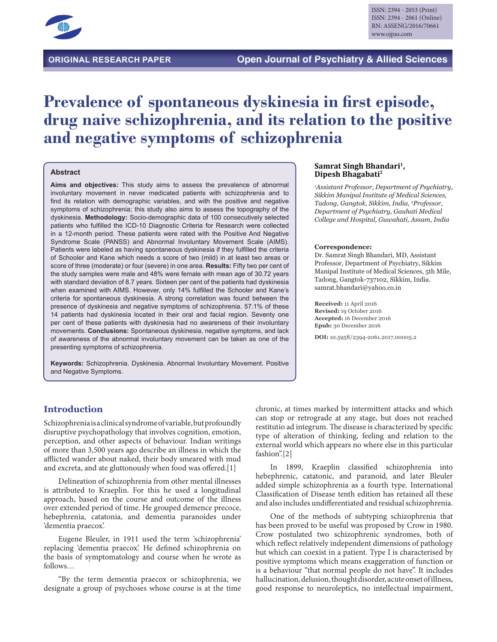

# **Prevalence of spontaneous dyskinesia in first episode, drug naive schizophrenia, and its relation to the positive and negative symptoms of schizophrenia**

#### **Abstract**

**Aims and objectives:** This study aims to assess the prevalence of abnormal involuntary movement in never medicated patients with schizophrenia and to find its relation with demographic variables, and with the positive and negative symptoms of schizophrenia; this study also aims to assess the topography of the dyskinesia. **Methodology:** Socio-demographic data of 100 consecutively selected patients who fulfilled the ICD-10 Diagnostic Criteria for Research were collected in a 12-month period. These patients were rated with the Positive And Negative Syndrome Scale (PANSS) and Abnormal Involuntary Movement Scale (AIMS). Patients were labeled as having spontaneous dyskinesia if they fulfilled the criteria of Schooler and Kane which needs a score of two (mild) in at least two areas or score of three (moderate) or four (severe) in one area. **Results:** Fifty two per cent of the study samples were male and 48% were female with mean age of 30.72 years with standard deviation of 8.7 years. Sixteen per cent of the patients had dyskinesia when examined with AIMS. However, only 14% fulfilled the Schooler and Kane's criteria for spontaneous dyskinesia. A strong correlation was found between the presence of dyskinesia and negative symptoms of schizophrenia. 57.1% of these 14 patients had dyskinesia located in their oral and facial region. Seventy one per cent of these patients with dyskinesia had no awareness of their involuntary movements. **Conclusions:** Spontaneous dyskinesia, negative symptoms, and lack of awareness of the abnormal involuntary movement can be taken as one of the presenting symptoms of schizophrenia.

**Keywords:** Schizophrenia. Dyskinesia. Abnormal Involuntary Movement. Positive and Negative Symptoms.

#### **Samrat Singh Bhandari1, Dipesh Bhagabati2**

*1 Assistant Professor, Department of Psychiatry, Sikkim Manipal Institute of Medical Sciences, Tadong, Gangtok, Sikkim, India, 2 Professor, Department of Psychiatry, Gauhati Medical College and Hospital, Guwahati, Assam, India*

#### **Correspondence:**

Dr. Samrat Singh Bhandari, MD, Assistant Professor, Department of Psychiatry, Sikkim Manipal Institute of Medical Sciences, 5th Mile, Tadong, Gangtok-737102, Sikkim, India. samrat.bhandari@yahoo.co.in

**Received:** 11 April 2016 **Revised:** 19 October 2016 **Accepted:** 16 December 2016 **Epub:** 30 December 2016

**DOI:** 10.5958/2394-2061.2017.00005.2

## **Introduction**

Schizophrenia is a clinical syndrome of variable, but profoundly disruptive psychopathology that involves cognition, emotion, perception, and other aspects of behaviour. Indian writings of more than 3,500 years ago describe an illness in which the afflicted wander about naked, their body smeared with mud and excreta, and ate gluttonously when food was offered.[1]

Delineation of schizophrenia from other mental illnesses is attributed to Kraeplin. For this he used a longitudinal approach, based on the course and outcome of the illness over extended period of time. He grouped demence precoce, hebephrenia, catatonia, and dementia paranoides under 'dementia praecox'.

Eugene Bleuler, in 1911 used the term 'schizophrenia' replacing 'dementia praecox'. He defined schizophrenia on the basis of symptomatology and course when he wrote as follows…

"By the term dementia praecox or schizophrenia, we designate a group of psychoses whose course is at the time

chronic, at times marked by intermittent attacks and which can stop or retrograde at any stage, but does not reached restitutio ad integrum. The disease is characterized by specific type of alteration of thinking, feeling and relation to the external world which appears no where else in this particular fashion".[2]

In 1899, Kraeplin classified schizophrenia into hebephrenic, catatonic, and paranoid, and later Bleuler added simple schizophrenia as a fourth type. International Classification of Disease tenth edition has retained all these and also includes undifferentiated and residual schizophrenia.

One of the methods of subtyping schizophrenia that has been proved to be useful was proposed by Crow in 1980. Crow postulated two schizophrenic syndromes, both of which reflect relatively independent dimensions of pathology but which can coexist in a patient. Type I is characterised by positive symptoms which means exaggeration of function or is a behaviour "that normal people do not have". It includes hallucination, delusion, thought disorder, acute onset of illness, good response to neuroleptics, no intellectual impairment,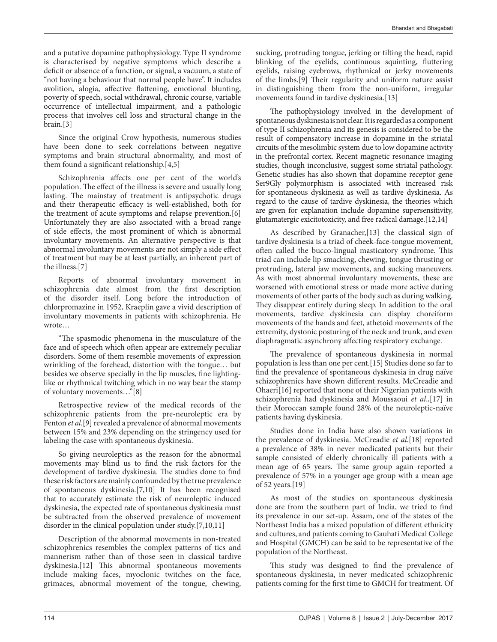and a putative dopamine pathophysiology. Type II syndrome is characterised by negative symptoms which describe a deficit or absence of a function, or signal, a vacuum, a state of "not having a behaviour that normal people have". It includes avolition, alogia, affective flattening, emotional blunting, poverty of speech, social withdrawal, chronic course, variable occurrence of intellectual impairment, and a pathologic process that involves cell loss and structural change in the brain.[3]

Since the original Crow hypothesis, numerous studies have been done to seek correlations between negative symptoms and brain structural abnormality, and most of them found a significant relationship.[4,5]

Schizophrenia affects one per cent of the world's population. The effect of the illness is severe and usually long lasting. The mainstay of treatment is antipsychotic drugs and their therapeutic efficacy is well-established, both for the treatment of acute symptoms and relapse prevention.[6] Unfortunately they are also associated with a broad range of side effects, the most prominent of which is abnormal involuntary movements. An alternative perspective is that abnormal involuntary movements are not simply a side effect of treatment but may be at least partially, an inherent part of the illness.[7]

Reports of abnormal involuntary movement in schizophrenia date almost from the first description of the disorder itself. Long before the introduction of chlorpromazine in 1952, Kraeplin gave a vivid description of involuntary movements in patients with schizophrenia. He wrote…

"The spasmodic phenomena in the musculature of the face and of speech which often appear are extremely peculiar disorders. Some of them resemble movements of expression wrinkling of the forehead, distortion with the tongue… but besides we observe specially in the lip muscles, fine lightinglike or rhythmical twitching which in no way bear the stamp of voluntary movements…"[8]

Retrospective review of the medical records of the schizophrenic patients from the pre-neuroleptic era by Fenton *et al*.[9] revealed a prevalence of abnormal movements between 15% and 23% depending on the stringency used for labeling the case with spontaneous dyskinesia.

So giving neuroleptics as the reason for the abnormal movements may blind us to find the risk factors for the development of tardive dyskinesia. The studies done to find these risk factors are mainly confounded by the true prevalence of spontaneous dyskinesia.[7,10] It has been recognised that to accurately estimate the risk of neuroleptic induced dyskinesia, the expected rate of spontaneous dyskinesia must be subtracted from the observed prevalence of movement disorder in the clinical population under study.[7,10,11]

Description of the abnormal movements in non-treated schizophrenics resembles the complex patterns of tics and mannerism rather than of those seen in classical tardive dyskinesia.[12] This abnormal spontaneous movements include making faces, myoclonic twitches on the face, grimaces, abnormal movement of the tongue, chewing,

sucking, protruding tongue, jerking or tilting the head, rapid blinking of the eyelids, continuous squinting, fluttering eyelids, raising eyebrows, rhythmical or jerky movements of the limbs.[9] Their regularity and uniform nature assist in distinguishing them from the non-uniform, irregular movements found in tardive dyskinesia.[13]

The pathophysiology involved in the development of spontaneous dyskinesia is not clear. It is regarded as a component of type II schizophrenia and its genesis is considered to be the result of compensatory increase in dopamine in the striatal circuits of the mesolimbic system due to low dopamine activity in the prefrontal cortex. Recent magnetic resonance imaging studies, though inconclusive, suggest some striatal pathology. Genetic studies has also shown that dopamine receptor gene Ser9Gly polymorphism is associated with increased risk for spontaneous dyskinesia as well as tardive dyskinesia. As regard to the cause of tardive dyskinesia, the theories which are given for explanation include dopamine supersensitivity, glutamatergic exicitotoxicity, and free radical damage.[12,14]

As described by Granacher,[13] the classical sign of tardive dyskinesia is a triad of cheek-face-tongue movement, often called the bucco-lingual masticatory syndrome. This triad can include lip smacking, chewing, tongue thrusting or protruding, lateral jaw movements, and sucking maneuvers. As with most abnormal involuntary movements, these are worsened with emotional stress or made more active during movements of other parts of the body such as during walking. They disappear entirely during sleep. In addition to the oral movements, tardive dyskinesia can display choreiform movements of the hands and feet, athetoid movements of the extremity, dystonic posturing of the neck and trunk, and even diaphragmatic asynchrony affecting respiratory exchange.

The prevalence of spontaneous dyskinesia in normal population is less than one per cent.[15] Studies done so far to find the prevalence of spontaneous dyskinesia in drug naïve schizophrenics have shown different results. McCreadie and Ohaeri[16] reported that none of their Nigerian patients with schizophrenia had dyskinesia and Moussaoui *et al*.,[17] in their Moroccan sample found 28% of the neuroleptic-naïve patients having dyskinesia.

Studies done in India have also shown variations in the prevalence of dyskinesia. McCreadie *et al*.[18] reported a prevalence of 38% in never medicated patients but their sample consisted of elderly chronically ill patients with a mean age of 65 years. The same group again reported a prevalence of 57% in a younger age group with a mean age of 52 years.[19]

As most of the studies on spontaneous dyskinesia done are from the southern part of India, we tried to find its prevalence in our set-up. Assam, one of the states of the Northeast India has a mixed population of different ethnicity and cultures, and patients coming to Gauhati Medical College and Hospital (GMCH) can be said to be representative of the population of the Northeast.

This study was designed to find the prevalence of spontaneous dyskinesia, in never medicated schizophrenic patients coming for the first time to GMCH for treatment. Of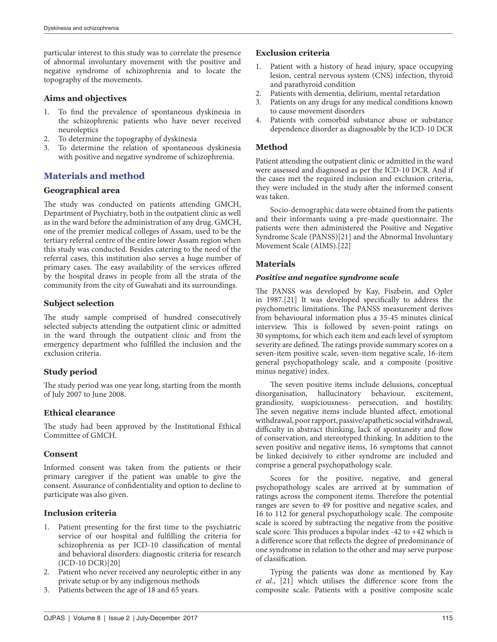particular interest to this study was to correlate the presence of abnormal involuntary movement with the positive and negative syndrome of schizophrenia and to locate the topography of the movements.

## **Aims and objectives**

- 1. To find the prevalence of spontaneous dyskinesia in the schizophrenic patients who have never received neuroleptics
- 2. To determine the topography of dyskinesia
- 3. To determine the relation of spontaneous dyskinesia with positive and negative syndrome of schizophrenia.

# **Materials and method**

## **Geographical area**

The study was conducted on patients attending GMCH, Department of Psychiatry, both in the outpatient clinic as well as in the ward before the administration of any drug. GMCH, one of the premier medical colleges of Assam, used to be the tertiary referral centre of the entire lower Assam region when this study was conducted. Besides catering to the need of the referral cases, this institution also serves a huge number of primary cases. The easy availability of the services offered by the hospital draws in people from all the strata of the community from the city of Guwahati and its surroundings.

## **Subject selection**

The study sample comprised of hundred consecutively selected subjects attending the outpatient clinic or admitted in the ward through the outpatient clinic and from the emergency department who fulfilled the inclusion and the exclusion criteria.

## **Study period**

The study period was one year long, starting from the month of July 2007 to June 2008.

## **Ethical clearance**

The study had been approved by the Institutional Ethical Committee of GMCH.

## **Consent**

Informed consent was taken from the patients or their primary caregiver if the patient was unable to give the consent. Assurance of confidentiality and option to decline to participate was also given.

## **Inclusion criteria**

- 1. Patient presenting for the first time to the psychiatric service of our hospital and fulfilling the criteria for schizophrenia as per ICD-10 classification of mental and behavioral disorders: diagnostic criteria for research (ICD-10 DCR)[20]
- 2. Patient who never received any neuroleptic either in any private setup or by any indigenous methods
- 3. Patients between the age of 18 and 65 years.

## **Exclusion criteria**

- 1. Patient with a history of head injury, space occupying lesion, central nervous system (CNS) infection, thyroid and parathyroid condition
- 2. Patients with dementia, delirium, mental retardation
- 3. Patients on any drugs for any medical conditions known to cause movement disorders
- 4. Patients with comorbid substance abuse or substance dependence disorder as diagnosable by the ICD-10 DCR

## **Method**

Patient attending the outpatient clinic or admitted in the ward were assessed and diagnosed as per the ICD-10 DCR. And if the cases met the required inclusion and exclusion criteria, they were included in the study after the informed consent was taken.

Socio-demographic data were obtained from the patients and their informants using a pre-made questionnaire. The patients were then administered the Positive and Negative Syndrome Scale (PANSS)[21] and the Abnormal Involuntary Movement Scale (AIMS).[22]

## **Materials**

## *Positive and negative syndrome scale*

The PANSS was developed by Kay, Fiszbein, and Opler in 1987.[21] It was developed specifically to address the psychometric limitations. The PANSS measurement derives from behavioural information plus a 35-45 minutes clinical interview. This is followed by seven-point ratings on 30 symptoms, for which each item and each level of symptom severity are defined. The ratings provide summary scores on a seven-item positive scale, seven-item negative scale, 16-item general psychopathology scale, and a composite (positive minus negative) index.

The seven positive items include delusions, conceptual disorganisation, hallucinatory behaviour, excitement, grandiosity, suspiciousness- persecution, and hostility. The seven negative items include blunted affect, emotional withdrawal, poor rapport, passive/apathetic social withdrawal, difficulty in abstract thinking, lack of spontaneity and flow of conservation, and stereotyped thinking. In addition to the seven positive and negative items, 16 symptoms that cannot be linked decisively to either syndrome are included and comprise a general psychopathology scale.

Scores for the positive, negative, and general psychopathology scales are arrived at by summation of ratings across the component items. Therefore the potential ranges are seven to 49 for positive and negative scales, and 16 to 112 for general psychopathology scale. The composite scale is scored by subtracting the negative from the positive scale score. This produces a bipolar index -42 to +42 which is a difference score that reflects the degree of predominance of one syndrome in relation to the other and may serve purpose of classification.

Typing the patients was done as mentioned by Kay *et al*., [21] which utilises the difference score from the composite scale. Patients with a positive composite scale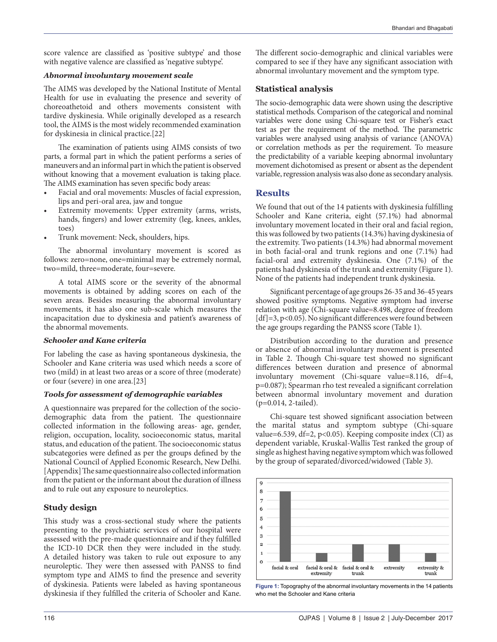score valence are classified as 'positive subtype' and those with negative valence are classified as 'negative subtype'.

#### *Abnormal involuntary movement scale*

The AIMS was developed by the National Institute of Mental Health for use in evaluating the presence and severity of choreoathetoid and others movements consistent with tardive dyskinesia. While originally developed as a research tool, the AIMS is the most widely recommended examination for dyskinesia in clinical practice.[22]

The examination of patients using AIMS consists of two parts, a formal part in which the patient performs a series of maneuvers and an informal part in which the patient is observed without knowing that a movement evaluation is taking place. The AIMS examination has seven specific body areas:

- Facial and oral movements: Muscles of facial expression, lips and peri-oral area, jaw and tongue
- Extremity movements: Upper extremity (arms, wrists, hands, fingers) and lower extremity (leg, knees, ankles, toes)
- Trunk movement: Neck, shoulders, hips.

The abnormal involuntary movement is scored as follows: zero=none, one=minimal may be extremely normal, two=mild, three=moderate, four=severe.

A total AIMS score or the severity of the abnormal movements is obtained by adding scores on each of the seven areas. Besides measuring the abnormal involuntary movements, it has also one sub-scale which measures the incapacitation due to dyskinesia and patient's awareness of the abnormal movements.

#### *Schooler and Kane criteria*

For labeling the case as having spontaneous dyskinesia, the Schooler and Kane criteria was used which needs a score of two (mild) in at least two areas or a score of three (moderate) or four (severe) in one area.[23]

#### *Tools for assessment of demographic variables*

A questionnaire was prepared for the collection of the sociodemographic data from the patient. The questionnaire collected information in the following areas- age, gender, religion, occupation, locality, socioeconomic status, marital status, and education of the patient. The socioeconomic status subcategories were defined as per the groups defined by the National Council of Applied Economic Research, New Delhi. [Appendix] The same questionnaire also collected information from the patient or the informant about the duration of illness and to rule out any exposure to neuroleptics.

## **Study design**

This study was a cross-sectional study where the patients presenting to the psychiatric services of our hospital were assessed with the pre-made questionnaire and if they fulfilled the ICD-10 DCR then they were included in the study. A detailed history was taken to rule out exposure to any neuroleptic. They were then assessed with PANSS to find symptom type and AIMS to find the presence and severity of dyskinesia. Patients were labeled as having spontaneous dyskinesia if they fulfilled the criteria of Schooler and Kane.

The different socio-demographic and clinical variables were compared to see if they have any significant association with abnormal involuntary movement and the symptom type.

### **Statistical analysis**

The socio-demographic data were shown using the descriptive statistical methods. Comparison of the categorical and nominal variables were done using Chi-square test or Fisher's exact test as per the requirement of the method. The parametric variables were analysed using analysis of variance (ANOVA) or correlation methods as per the requirement. To measure the predictability of a variable keeping abnormal involuntary movement dichotomised as present or absent as the dependent variable, regression analysis was also done as secondary analysis.

## **Results**

We found that out of the 14 patients with dyskinesia fulfilling Schooler and Kane criteria, eight (57.1%) had abnormal involuntary movement located in their oral and facial region, this was followed by two patients (14.3%) having dyskinesia of the extremity. Two patients (14.3%) had abnormal movement in both facial-oral and trunk regions and one (7.1%) had facial-oral and extremity dyskinesia. One (7.1%) of the patients had dyskinesia of the trunk and extremity (Figure 1). None of the patients had independent trunk dyskinesia.

Significant percentage of age groups 26-35 and 36-45 years showed positive symptoms. Negative symptom had inverse relation with age (Chi-square value=8.498, degree of freedom  $[df]=3, p<0.05$ ). No significant differences were found between the age groups regarding the PANSS score (Table 1).

Distribution according to the duration and presence or absence of abnormal involuntary movement is presented in Table 2. Though Chi-square test showed no significant differences between duration and presence of abnormal involuntary movement (Chi-square value=8.116, df=4, p=0.087); Spearman rho test revealed a significant correlation between abnormal involuntary movement and duration (p=0.014, 2-tailed).

Chi-square test showed significant association between the marital status and symptom subtype (Chi-square value=6.539, df=2, p<0.05). Keeping composite index (CI) as dependent variable, Kruskal-Wallis Test ranked the group of single as highest having negative symptom which was followed by the group of separated/divorced/widowed (Table 3).



**Figure 1:** Topography of the abnormal involuntary movements in the 14 patients who met the Schooler and Kane criteria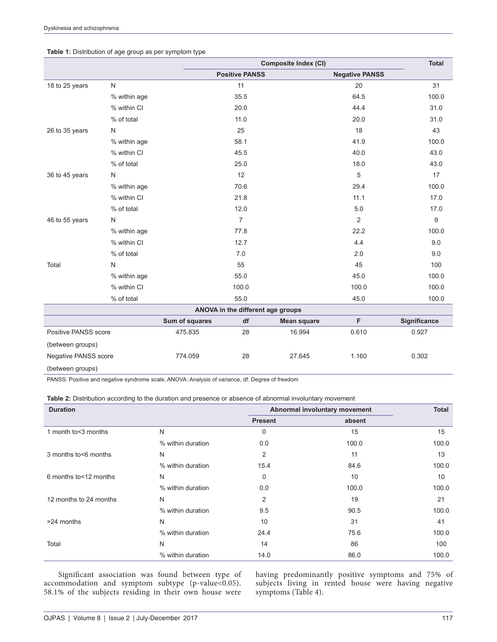#### **Table 1:** Distribution of age group as per symptom type

|                      |              | <b>Composite Index (CI)</b> |                       |                                   |                       | <b>Total</b> |
|----------------------|--------------|-----------------------------|-----------------------|-----------------------------------|-----------------------|--------------|
|                      |              |                             | <b>Positive PANSS</b> |                                   | <b>Negative PANSS</b> |              |
| 18 to 25 years       | ${\sf N}$    |                             | 11                    |                                   | 20                    | 31           |
|                      | % within age |                             | 35.5                  |                                   | 64.5                  | 100.0        |
|                      | % within CI  |                             | 20.0                  |                                   | 44.4                  | 31.0         |
|                      | % of total   |                             | 11.0                  |                                   | 20.0                  | 31.0         |
| 26 to 35 years       | $\mathsf{N}$ |                             | 25                    |                                   | 18                    | 43           |
|                      | % within age |                             | 58.1                  |                                   | 41.9                  | 100.0        |
|                      | % within CI  |                             | 45.5                  |                                   | 40.0                  | 43.0         |
|                      | % of total   |                             | 25.0                  |                                   | 18.0                  | 43.0         |
| 36 to 45 years       | N            |                             | 12                    |                                   | 5                     | 17           |
|                      | % within age |                             | 70.6                  |                                   | 29.4                  | 100.0        |
|                      | % within CI  |                             | 21.8                  |                                   | 11.1                  | 17.0         |
|                      | % of total   |                             | 12.0                  |                                   | 5.0                   | 17.0         |
| 46 to 55 years       | N            |                             | $\overline{7}$        |                                   | 2                     | 9            |
|                      | % within age |                             | 77.8                  |                                   | 22.2                  | 100.0        |
|                      | % within CI  |                             | 12.7                  |                                   | 4.4                   | 9.0          |
|                      | % of total   |                             | 7.0                   |                                   | 2.0                   | 9.0          |
| Total                | $\mathsf{N}$ |                             | 55                    |                                   | 45                    | 100          |
|                      | % within age |                             | 55.0                  |                                   | 45.0                  | 100.0        |
|                      | % within CI  |                             | 100.0                 |                                   | 100.0                 | 100.0        |
|                      | % of total   |                             | 55.0                  |                                   | 45.0                  | 100.0        |
|                      |              |                             |                       | ANOVA in the different age groups |                       |              |
|                      |              | Sum of squares              | df                    | <b>Mean square</b>                | F                     | Significance |
| Positive PANSS score |              | 475.835                     | 28                    | 16.994                            | 0.610                 | 0.927        |
| (between groups)     |              |                             |                       |                                   |                       |              |
| Negative PANSS score |              | 774.059                     | 28                    | 27.645                            | 1.160                 | 0.302        |
| (between groups)     |              |                             |                       |                                   |                       |              |

PANSS: Positive and negative syndrome scale, ANOVA: Analysis of variance, df: Degree of freedom

| <b>Duration</b>         |                   | Abnormal involuntary movement | <b>Total</b> |       |
|-------------------------|-------------------|-------------------------------|--------------|-------|
|                         |                   | <b>Present</b>                | absent       |       |
| 1 month to < 3 months   | N                 | 0                             | 15           | 15    |
|                         | % within duration | 0.0                           | 100.0        | 100.0 |
| 3 months to \6 months   | N                 | 2                             | 11           | 13    |
|                         | % within duration | 15.4                          | 84.6         | 100.0 |
| 6 months to < 12 months | N                 | 0                             | 10           | 10    |
|                         | % within duration | 0.0                           | 100.0        | 100.0 |
| 12 months to 24 months  | N                 | 2                             | 19           | 21    |
|                         | % within duration | 9.5                           | 90.5         | 100.0 |
| >24 months              | N                 | 10                            | 31           | 41    |
|                         | % within duration | 24.4                          | 75.6         | 100.0 |
| Total                   | N                 | 14                            | 86           | 100   |
|                         | % within duration | 14.0                          | 86.0         | 100.0 |

Significant association was found between type of accommodation and symptom subtype (p-value<0.05). 58.1% of the subjects residing in their own house were having predominantly positive symptoms and 75% of subjects living in rented house were having negative symptoms (Table 4).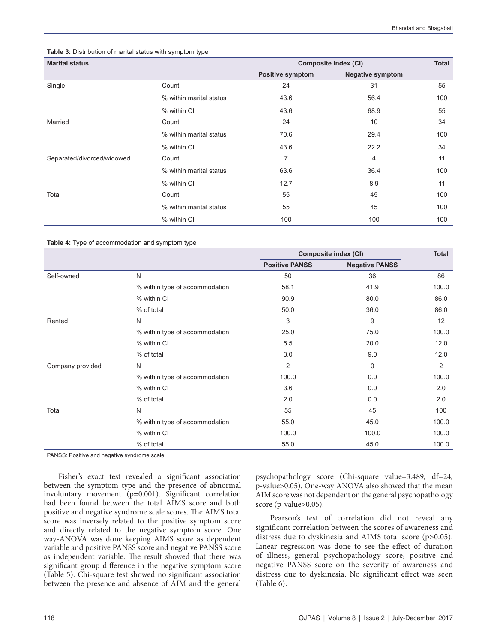#### **Table 3:** Distribution of marital status with symptom type

| <b>Marital status</b>      |                         | Composite index (CI)    | <b>Total</b>            |     |
|----------------------------|-------------------------|-------------------------|-------------------------|-----|
|                            |                         | <b>Positive symptom</b> | <b>Negative symptom</b> |     |
| Single                     | Count                   | 24                      | 31                      | 55  |
|                            | % within marital status | 43.6                    | 56.4                    | 100 |
|                            | % within CI             | 43.6                    | 68.9                    | 55  |
| Married                    | Count                   | 24                      | 10                      | 34  |
|                            | % within marital status | 70.6                    | 29.4                    | 100 |
|                            | % within CI             | 43.6                    | 22.2                    | 34  |
| Separated/divorced/widowed | Count                   | $\overline{7}$          | 4                       | 11  |
|                            | % within marital status | 63.6                    | 36.4                    | 100 |
|                            | % within CI             | 12.7                    | 8.9                     | 11  |
| Total                      | Count                   | 55                      | 45                      | 100 |
|                            | % within marital status | 55                      | 45                      | 100 |
|                            | % within CI             | 100                     | 100                     | 100 |

#### **Table 4:** Type of accommodation and symptom type

|                  |                                | Composite index (CI)  |                       | Total |
|------------------|--------------------------------|-----------------------|-----------------------|-------|
|                  |                                | <b>Positive PANSS</b> | <b>Negative PANSS</b> |       |
| Self-owned       | N                              | 50                    | 36                    | 86    |
|                  | % within type of accommodation | 58.1                  | 41.9                  | 100.0 |
|                  | % within CI                    | 90.9                  | 80.0                  | 86.0  |
|                  | % of total                     | 50.0                  | 36.0                  | 86.0  |
| Rented           | N                              | 3                     | 9                     | 12    |
|                  | % within type of accommodation | 25.0                  | 75.0                  | 100.0 |
|                  | % within CI                    | 5.5                   | 20.0                  | 12.0  |
|                  | % of total                     | 3.0                   | 9.0                   | 12.0  |
| Company provided | N                              | 2                     | 0                     | 2     |
|                  | % within type of accommodation | 100.0                 | 0.0                   | 100.0 |
|                  | % within CI                    | 3.6                   | 0.0                   | 2.0   |
|                  | % of total                     | 2.0                   | 0.0                   | 2.0   |
| Total            | N                              | 55                    | 45                    | 100   |
|                  | % within type of accommodation | 55.0                  | 45.0                  | 100.0 |
|                  | % within CI                    | 100.0                 | 100.0                 | 100.0 |
|                  | % of total                     | 55.0                  | 45.0                  | 100.0 |

PANSS: Positive and negative syndrome scale

Fisher's exact test revealed a significant association between the symptom type and the presence of abnormal involuntary movement (p=0.001). Significant correlation had been found between the total AIMS score and both positive and negative syndrome scale scores. The AIMS total score was inversely related to the positive symptom score and directly related to the negative symptom score. One way-ANOVA was done keeping AIMS score as dependent variable and positive PANSS score and negative PANSS score as independent variable. The result showed that there was significant group difference in the negative symptom score (Table 5). Chi-square test showed no significant association between the presence and absence of AIM and the general

psychopathology score (Chi-square value=3.489, df=24, p-value>0.05). One-way ANOVA also showed that the mean AIM score was not dependent on the general psychopathology score (p-value>0.05).

Pearson's test of correlation did not reveal any significant correlation between the scores of awareness and distress due to dyskinesia and AIMS total score (p>0.05). Linear regression was done to see the effect of duration of illness, general psychopathology score, positive and negative PANSS score on the severity of awareness and distress due to dyskinesia. No significant effect was seen (Table 6).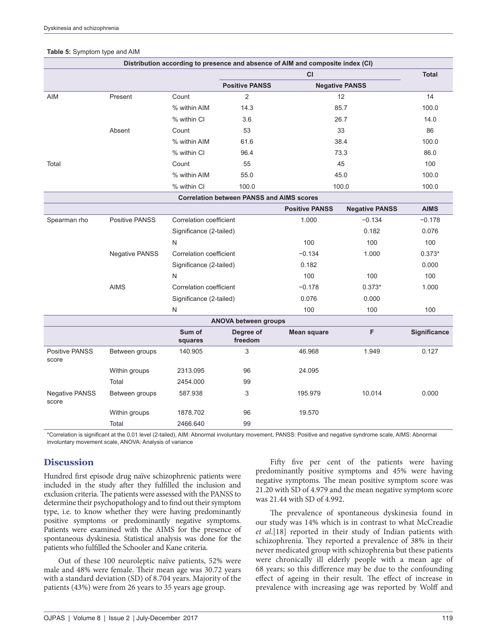|                                |                       |                         | Distribution according to presence and absence of AIM and composite index (CI) |                       |                       |              |
|--------------------------------|-----------------------|-------------------------|--------------------------------------------------------------------------------|-----------------------|-----------------------|--------------|
|                                |                       |                         |                                                                                | CI                    |                       | <b>Total</b> |
|                                |                       |                         | <b>Positive PANSS</b>                                                          |                       | <b>Negative PANSS</b> |              |
| AIM                            | Present               | Count                   | $\overline{c}$                                                                 |                       | 12                    | 14           |
|                                |                       | % within AIM            | 14.3                                                                           |                       | 85.7                  | 100.0        |
|                                |                       | % within CI             | 3.6                                                                            |                       | 26.7                  | 14.0         |
|                                | Absent                | Count                   | 53                                                                             |                       | 33                    | 86           |
|                                |                       | % within AIM            | 61.6                                                                           |                       | 38.4                  | 100.0        |
|                                |                       | % within CI             | 96.4                                                                           |                       | 73.3                  | 86.0         |
| Total                          |                       | Count                   | 55                                                                             |                       | 45                    | 100          |
|                                |                       | % within AIM            | 55.0                                                                           |                       | 45.0                  | 100.0        |
|                                |                       | % within CI             | 100.0                                                                          |                       | 100.0                 | 100.0        |
|                                |                       |                         | <b>Correlation between PANSS and AIMS scores</b>                               |                       |                       |              |
|                                |                       |                         |                                                                                | <b>Positive PANSS</b> | <b>Negative PANSS</b> | <b>AIMS</b>  |
| Spearman rho                   | Positive PANSS        | Correlation coefficient |                                                                                | 1.000                 | $-0.134$              | $-0.178$     |
|                                |                       | Significance (2-tailed) |                                                                                |                       | 0.182                 | 0.076        |
|                                |                       | N                       |                                                                                | 100                   | 100                   | 100          |
|                                | <b>Negative PANSS</b> | Correlation coefficient |                                                                                | $-0.134$              | 1.000                 | $0.373*$     |
|                                |                       | Significance (2-tailed) |                                                                                | 0.182                 |                       | 0.000        |
|                                |                       | N                       |                                                                                | 100                   | 100                   | 100          |
|                                | <b>AIMS</b>           | Correlation coefficient |                                                                                | $-0.178$              | $0.373*$              | 1.000        |
|                                |                       | Significance (2-tailed) |                                                                                | 0.076                 | 0.000                 |              |
|                                |                       | N                       |                                                                                | 100                   | 100                   | 100          |
|                                |                       |                         | <b>ANOVA between groups</b>                                                    |                       |                       |              |
|                                |                       | Sum of<br>squares       | Degree of<br>freedom                                                           | <b>Mean square</b>    | F                     | Significance |
| Positive PANSS<br>score        | Between groups        | 140.905                 | 3                                                                              | 46.968                | 1.949                 | 0.127        |
|                                | Within groups         | 2313.095                | 96                                                                             | 24.095                |                       |              |
|                                | Total                 | 2454.000                | 99                                                                             |                       |                       |              |
| <b>Negative PANSS</b><br>score | Between groups        | 587.938                 | 3                                                                              | 195.979               | 10.014                | 0.000        |
|                                | Within groups         | 1878.702                | 96                                                                             | 19.570                |                       |              |
|                                | Total                 | 2466.640                | 99                                                                             |                       |                       |              |

#### **Table 5:** Symptom type and AIM

\*Correlation is significant at the 0.01 level (2‑tailed), AIM: Abnormal involuntary movement, PANSS: Positive and negative syndrome scale, AIMS: Abnormal involuntary movement scale, ANOVA: Analysis of variance

## **Discussion**

Hundred first episode drug naïve schizophrenic patients were included in the study after they fulfilled the inclusion and exclusion criteria. The patients were assessed with the PANSS to determine their psychopathology and to find out their symptom type, i.e. to know whether they were having predominantly positive symptoms or predominantly negative symptoms. Patients were examined with the AIMS for the presence of spontaneous dyskinesia. Statistical analysis was done for the patients who fulfilled the Schooler and Kane criteria.

Out of these 100 neuroleptic naïve patients, 52% were male and 48% were female. Their mean age was 30.72 years with a standard deviation (SD) of 8.704 years. Majority of the patients (43%) were from 26 years to 35 years age group.

Fifty five per cent of the patients were having predominantly positive symptoms and 45% were having negative symptoms. The mean positive symptom score was 21.20 with SD of 4.979 and the mean negative symptom score was 21.44 with SD of 4.992.

The prevalence of spontaneous dyskinesia found in our study was 14% which is in contrast to what McCreadie *et al*.[18] reported in their study of Indian patients with schizophrenia. They reported a prevalence of 38% in their never medicated group with schizophrenia but these patients were chronically ill elderly people with a mean age of 68 years; so this difference may be due to the confounding effect of ageing in their result. The effect of increase in prevalence with increasing age was reported by Wolff and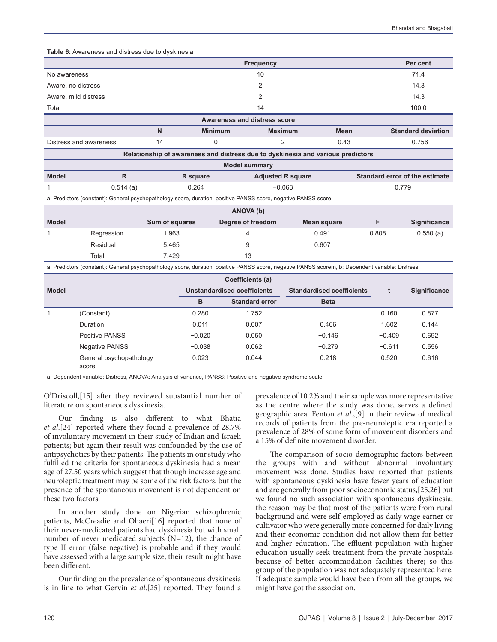**Table 6:** Awareness and distress due to dyskinesia

|                                                                                 |                                                                                              |                                                                                                               |                                                                        | Frequency      |                    |       | Per cent     |  |
|---------------------------------------------------------------------------------|----------------------------------------------------------------------------------------------|---------------------------------------------------------------------------------------------------------------|------------------------------------------------------------------------|----------------|--------------------|-------|--------------|--|
| 10<br>No awareness                                                              |                                                                                              |                                                                                                               |                                                                        |                |                    |       | 71.4         |  |
| 2<br>Aware, no distress                                                         |                                                                                              |                                                                                                               |                                                                        |                |                    | 14.3  |              |  |
| Aware, mild distress                                                            |                                                                                              |                                                                                                               |                                                                        | 2              |                    |       | 14.3         |  |
| Total                                                                           |                                                                                              |                                                                                                               |                                                                        | 14             |                    |       | 100.0        |  |
|                                                                                 |                                                                                              |                                                                                                               | <b>Awareness and distress score</b>                                    |                |                    |       |              |  |
|                                                                                 | $\mathsf{N}$<br><b>Minimum</b><br><b>Maximum</b><br><b>Mean</b><br><b>Standard deviation</b> |                                                                                                               |                                                                        |                |                    |       |              |  |
| Distress and awareness                                                          |                                                                                              | 14                                                                                                            | 0                                                                      | $\overline{2}$ | 0.43               |       | 0.756        |  |
| Relationship of awareness and distress due to dyskinesia and various predictors |                                                                                              |                                                                                                               |                                                                        |                |                    |       |              |  |
| <b>Model summary</b>                                                            |                                                                                              |                                                                                                               |                                                                        |                |                    |       |              |  |
| <b>Model</b>                                                                    | $\mathsf{R}$                                                                                 |                                                                                                               | Standard error of the estimate<br><b>Adjusted R square</b><br>R square |                |                    |       |              |  |
|                                                                                 | 0.514(a)                                                                                     | 0.264                                                                                                         | $-0.063$                                                               |                |                    | 0.779 |              |  |
|                                                                                 |                                                                                              | a: Predictors (constant): General psychopathology score, duration, positive PANSS score, negative PANSS score |                                                                        |                |                    |       |              |  |
| ANOVA (b)                                                                       |                                                                                              |                                                                                                               |                                                                        |                |                    |       |              |  |
| <b>Model</b>                                                                    |                                                                                              | Sum of squares                                                                                                | Degree of freedom                                                      |                | <b>Mean square</b> | F     | Significance |  |
|                                                                                 | Regression                                                                                   | 1.963                                                                                                         | 4                                                                      |                | 0.491              | 0.808 | 0.550(a)     |  |
|                                                                                 | Residual                                                                                     | 5.465                                                                                                         | 9                                                                      |                | 0.607              |       |              |  |
|                                                                                 | Total                                                                                        | 7.429                                                                                                         | 13                                                                     |                |                    |       |              |  |

a: Predictors (constant): General psychopathology score, duration, positive PANSS score, negative PANSS scorem, b: Dependent variable: Distress

| Coefficients (a) |                                  |          |                             |                                  |          |              |  |
|------------------|----------------------------------|----------|-----------------------------|----------------------------------|----------|--------------|--|
| <b>Model</b>     |                                  |          | Unstandardised coefficients | <b>Standardised coefficients</b> |          | Significance |  |
|                  |                                  | в        | <b>Standard error</b>       | <b>Beta</b>                      |          |              |  |
|                  | (Constant)                       | 0.280    | 1.752                       |                                  | 0.160    | 0.877        |  |
|                  | Duration                         | 0.011    | 0.007                       | 0.466                            | 1.602    | 0.144        |  |
|                  | Positive PANSS                   | $-0.020$ | 0.050                       | $-0.146$                         | $-0.409$ | 0.692        |  |
|                  | Negative PANSS                   | $-0.038$ | 0.062                       | $-0.279$                         | $-0.611$ | 0.556        |  |
|                  | General psychopathology<br>score | 0.023    | 0.044                       | 0.218                            | 0.520    | 0.616        |  |

a: Dependent variable: Distress, ANOVA: Analysis of variance, PANSS: Positive and negative syndrome scale

O'Driscoll,[15] after they reviewed substantial number of literature on spontaneous dyskinesia.

Our finding is also different to what Bhatia *et al*.[24] reported where they found a prevalence of 28.7% of involuntary movement in their study of Indian and Israeli patients; but again their result was confounded by the use of antipsychotics by their patients. The patients in our study who fulfilled the criteria for spontaneous dyskinesia had a mean age of 27.50 years which suggest that though increase age and neuroleptic treatment may be some of the risk factors, but the presence of the spontaneous movement is not dependent on these two factors.

In another study done on Nigerian schizophrenic patients, McCreadie and Ohaeri[16] reported that none of their never-medicated patients had dyskinesia but with small number of never medicated subjects (N=12), the chance of type II error (false negative) is probable and if they would have assessed with a large sample size, their result might have been different.

Our finding on the prevalence of spontaneous dyskinesia is in line to what Gervin *et al*.[25] reported. They found a prevalence of 10.2% and their sample was more representative as the centre where the study was done, serves a defined geographic area. Fenton *et al*.,[9] in their review of medical records of patients from the pre-neuroleptic era reported a prevalence of 28% of some form of movement disorders and a 15% of definite movement disorder.

The comparison of socio-demographic factors between the groups with and without abnormal involuntary movement was done. Studies have reported that patients with spontaneous dyskinesia have fewer years of education and are generally from poor socioeconomic status,[25,26] but we found no such association with spontaneous dyskinesia; the reason may be that most of the patients were from rural background and were self-employed as daily wage earner or cultivator who were generally more concerned for daily living and their economic condition did not allow them for better and higher education. The effluent population with higher education usually seek treatment from the private hospitals because of better accommodation facilities there; so this group of the population was not adequately represented here. If adequate sample would have been from all the groups, we might have got the association.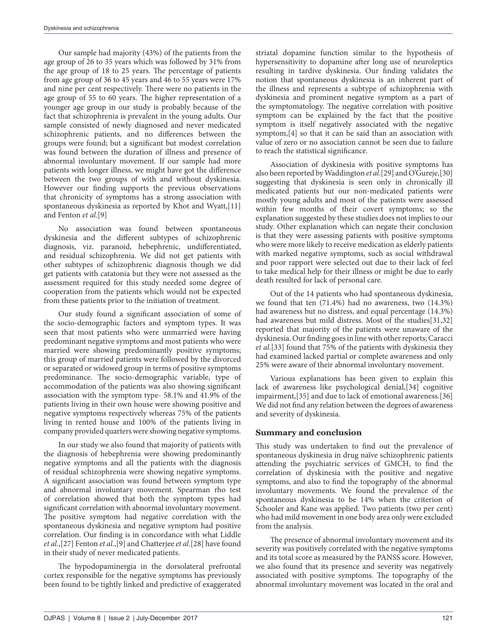Our sample had majority (43%) of the patients from the age group of 26 to 35 years which was followed by 31% from the age group of 18 to 25 years. The percentage of patients from age group of 36 to 45 years and 46 to 55 years were 17% and nine per cent respectively. There were no patients in the age group of 55 to 60 years. The higher representation of a younger age group in our study is probably because of the fact that schizophrenia is prevalent in the young adults. Our sample consisted of newly diagnosed and never medicated schizophrenic patients, and no differences between the groups were found; but a significant but modest correlation was found between the duration of illness and presence of abnormal involuntary movement. If our sample had more patients with longer illness, we might have got the difference between the two groups of with and without dyskinesia. However our finding supports the previous observations that chronicity of symptoms has a strong association with spontaneous dyskinesia as reported by Khot and Wyatt,[11] and Fenton *et al*.[9]

No association was found between spontaneous dyskinesia and the different subtypes of schizophrenic diagnosis, viz. paranoid, hebephrenic, undifferentiated, and residual schizophrenia. We did not get patients with other subtypes of schizophrenic diagnosis though we did get patients with catatonia but they were not assessed as the assessment required for this study needed some degree of cooperation from the patients which would not be expected from these patients prior to the initiation of treatment.

Our study found a significant association of some of the socio-demographic factors and symptom types. It was seen that most patients who were unmarried were having predominant negative symptoms and most patients who were married were showing predominantly positive symptoms; this group of married patients were followed by the divorced or separated or widowed group in terms of positive symptoms predominance. The socio-demographic variable, type of accommodation of the patients was also showing significant association with the symptom type- 58.1% and 41.9% of the patients living in their own house were showing positive and negative symptoms respectively whereas 75% of the patients living in rented house and 100% of the patients living in company provided quarters were showing negative symptoms.

In our study we also found that majority of patients with the diagnosis of hebephrenia were showing predominantly negative symptoms and all the patients with the diagnosis of residual schizophrenia were showing negative symptoms. A significant association was found between symptom type and abnormal involuntary movement. Spearman rho test of correlation showed that both the symptom types had significant correlation with abnormal involuntary movement. The positive symptom had negative correlation with the spontaneous dyskinesia and negative symptom had positive correlation. Our finding is in concordance with what Liddle *et al*.,[27] Fenton *et al*.,[9] and Chatterjee *et al*.[28] have found in their study of never medicated patients.

The hypodopaminergia in the dorsolateral prefrontal cortex responsible for the negative symptoms has previously been found to be tightly linked and predictive of exaggerated

striatal dopamine function similar to the hypothesis of hypersensitivity to dopamine after long use of neuroleptics resulting in tardive dyskinesia. Our finding validates the notion that spontaneous dyskinesia is an inherent part of the illness and represents a subtype of schizophrenia with dyskinesia and prominent negative symptom as a part of the symptomatology. The negative correlation with positive symptom can be explained by the fact that the positive symptom is itself negatively associated with the negative symptom,[4] so that it can be said than an association with value of zero or no association cannot be seen due to failure to reach the statistical significance.

Association of dyskinesia with positive symptoms has also been reported by Waddington *et al*.[29] and O'Gureje,[30] suggesting that dyskinesia is seen only in chronically ill medicated patients but our non-medicated patients were mostly young adults and most of the patients were assessed within few months of their covert symptoms; so the explanation suggested by these studies does not implies to our study. Other explanation which can negate their conclusion is that they were assessing patients with positive symptoms who were more likely to receive medication as elderly patients with marked negative symptoms, such as social withdrawal and poor rapport were selected out due to their lack of feel to take medical help for their illness or might be due to early death resulted for lack of personal care.

Out of the 14 patients who had spontaneous dyskinesia, we found that ten (71.4%) had no awareness, two (14.3%) had awareness but no distress, and equal percentage (14.3%) had awareness but mild distress. Most of the studies[31,32] reported that majority of the patients were unaware of the dyskinesia. Our finding goes in line with other reports; Caracci *et al*.[33] found that 75% of the patients with dyskinesia they had examined lacked partial or complete awareness and only 25% were aware of their abnormal involuntary movement.

Various explanations has been given to explain this lack of awareness like psychological denial,[34] cognitive impairment,[35] and due to lack of emotional awareness.[36] We did not find any relation between the degrees of awareness and severity of dyskinesia.

## **Summary and conclusion**

This study was undertaken to find out the prevalence of spontaneous dyskinesia in drug naïve schizophrenic patients attending the psychiatric services of GMCH, to find the correlation of dyskinesia with the positive and negative symptoms, and also to find the topography of the abnormal involuntary movements. We found the prevalence of the spontaneous dyskinesia to be 14% when the criterion of Schooler and Kane was applied. Two patients (two per cent) who had mild movement in one body area only were excluded from the analysis.

The presence of abnormal involuntary movement and its severity was positively correlated with the negative symptoms and its total score as measured by the PANSS score. However, we also found that its presence and severity was negatively associated with positive symptoms. The topography of the abnormal involuntary movement was located in the oral and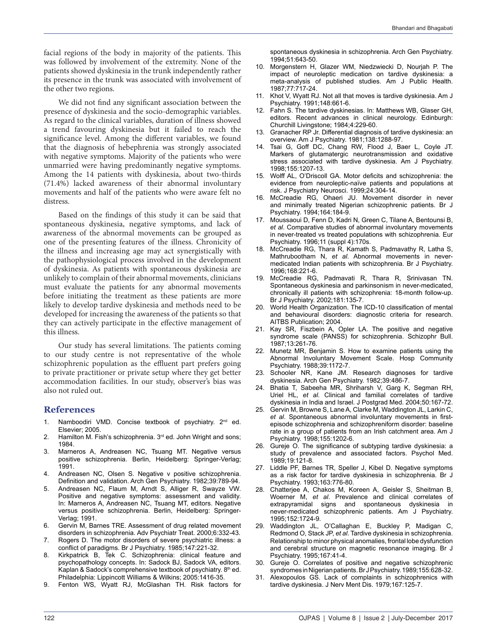facial regions of the body in majority of the patients. This was followed by involvement of the extremity. None of the patients showed dyskinesia in the trunk independently rather its presence in the trunk was associated with involvement of the other two regions.

We did not find any significant association between the presence of dyskinesia and the socio-demographic variables. As regard to the clinical variables, duration of illness showed a trend favouring dyskinesia but it failed to reach the significance level. Among the different variables, we found that the diagnosis of hebephrenia was strongly associated with negative symptoms. Majority of the patients who were unmarried were having predominantly negative symptoms. Among the 14 patients with dyskinesia, about two-thirds (71.4%) lacked awareness of their abnormal involuntary movements and half of the patients who were aware felt no distress.

Based on the findings of this study it can be said that spontaneous dyskinesia, negative symptoms, and lack of awareness of the abnormal movements can be grouped as one of the presenting features of the illness. Chronicity of the illness and increasing age may act synergistically with the pathophysiological process involved in the development of dyskinesia. As patients with spontaneous dyskinesia are unlikely to complain of their abnormal movements, clinicians must evaluate the patients for any abnormal movements before initiating the treatment as these patients are more likely to develop tardive dyskinesia and methods need to be developed for increasing the awareness of the patients so that they can actively participate in the effective management of this illness.

Our study has several limitations. The patients coming to our study centre is not representative of the whole schizophrenic population as the effluent part prefers going to private practitioner or private setup where they get better accommodation facilities. In our study, observer's bias was also not ruled out.

#### **References**

- 1. Namboodiri VMD. Concise textbook of psychiatry. 2<sup>nd</sup> ed. Elsevier; 2005.
- 2. Hamilton M. Fish's schizophrenia. 3<sup>rd</sup> ed. John Wright and sons; 1984.
- 3. Marneros A, Andreasen NC, Tsuang MT. Negative versus positive schizophrenia. Berlin, Heidelberg: Springer-Verlag; 1991.
- Andreasen NC, Olsen S. Negative v positive schizophrenia. Definition and validation. Arch Gen Psychiatry. 1982;39:789-94.
- 5. Andreasen NC, Flaum M, Arndt S, Alliger R, Swayze VW. Positive and negative symptoms: assessment and validity. In: Marneros A, Andreasen NC, Tsuang MT, editors. Negative versus positive schizophrenia. Berlin, Heidelberg: Springer-Verlag; 1991.
- 6. Gervin M, Barnes TRE. Assessment of drug related movement disorders in schizophrenia. Adv Psychiatr Treat. 2000;6:332-43.
- 7. Rogers D. The motor disorders of severe psychiatric illness: a conflict of paradigms. Br J Psychiatry. 1985;147:221-32.
- 8. Kirkpatrick B, Tek C. Schizophrenia: clinical feature and psychopathology concepts. In: Sadock BJ, Sadock VA, editors. Kaplan & Sadock's comprehensive textbook of psychiatry. 8<sup>th</sup> ed. Philadelphia: Lippincott Williams & Wilkins; 2005:1416-35.
- 9. Fenton WS, Wyatt RJ, McGlashan TH. Risk factors for

spontaneous dyskinesia in schizophrenia. Arch Gen Psychiatry. 1994;51:643-50.

- 10. Morgenstern H, Glazer WM, Niedzwiecki D, Nourjah P. The impact of neuroleptic medication on tardive dyskinesia: a meta-analysis of published studies. Am J Public Health. 1987;77:717-24.
- 11. Khot V, Wyatt RJ. Not all that moves is tardive dyskinesia. Am J Psychiatry. 1991;148:661-6.
- 12. Fahn S. The tardive dyskinesias. In: Matthews WB, Glaser GH, editors. Recent advances in clinical neurology. Edinburgh: Churchill Livingstone; 1984;4:229-60.
- 13. Granacher RP Jr. Differential diagnosis of tardive dyskinesia: an overview. Am J Psychiatry. 1981;138:1288-97.
- 14. Tsai G, Goff DC, Chang RW, Flood J, Baer L, Coyle JT. Markers of glutamatergic neurotransmission and oxidative stress associated with tardive dyskinesia. Am J Psychiatry. 1998;155:1207-13.
- 15. Wolff AL, O'Driscoll GA. Motor deficits and schizophrenia: the evidence from neuroleptic-naïve patients and populations at risk. J Psychiatry Neurosci. 1999;24:304-14.
- 16. McCreadie RG, Ohaeri JU. Movement disorder in never and minimally treated Nigerian schizophrenic patients. Br J Psychiatry. 1994;164:184-9.
- 17. Moussaoui D, Fenn D, Kadri N, Green C, Tilane A, Bentounsi B, *et al*. Comparative studies of abnormal involuntary movements in never-treated vs treated populations with schizophrenia. Eur Psychiatry. 1996;11 (suppl 4):170s.
- 18. McCreadie RG, Thara R, Kamath S, Padmavathy R, Latha S, Mathrubootham N, *et al*. Abnormal movements in nevermedicated Indian patients with schizophrenia. Br J Psychiatry. 1996;168:221-6.
- 19. McCreadie RG, Padmavati R, Thara R, Srinivasan TN. Spontaneous dyskinesia and parkinsonism in never-medicated, chronically ill patients with schizophrenia: 18-month follow-up. Br J Psychiatry. 2002;181:135-7.
- 20. World Health Organization. The ICD-10 classification of mental and behavioural disorders: diagnostic criteria for research. AITBS Publication; 2004.
- 21. Kay SR, Fiszbein A, Opler LA. The positive and negative syndrome scale (PANSS) for schizophrenia. Schizophr Bull. 1987;13:261-76.
- 22. Munetz MR, Benjamin S. How to examine patients using the Abnormal Involuntary Movement Scale. Hosp Community Psychiatry. 1988;39:1172-7.
- 23. Schooler NR, Kane JM. Research diagnoses for tardive dyskinesia. Arch Gen Psychiatry. 1982;39:486-7.
- 24. Bhatia T, Sabeeha MR, Shriharsh V, Garg K, Segman RH, Uriel HL, *et al*. Clinical and familial correlates of tardive dyskinesia in India and Israel. J Postgrad Med. 2004;50:167-72.
- 25. Gervin M, Browne S, Lane A, Clarke M, Waddington JL, Larkin C, *et al*. Spontaneous abnormal involuntary movements in firstepisode schizophrenia and schizophreniform disorder: baseline rate in a group of patients from an Irish catchment area. Am J Psychiatry. 1998;155:1202-6.
- 26. Gureje O. The significance of subtyping tardive dyskinesia: a study of prevalence and associated factors. Psychol Med. 1989;19:121-8.
- 27. Liddle PF, Barnes TR, Speller J, Kibel D. Negative symptoms as a risk factor for tardive dyskinesia in schizophrenia. Br J Psychiatry. 1993;163:776-80.
- 28. Chatterjee A, Chakos M, Koreen A, Geisler S, Sheitman B, Woerner M, *et al*. Prevalence and clinical correlates of extrapyramidal signs and spontaneous dyskinesia in never-medicated schizophrenic patients. Am J Psychiatry. 1995;152:1724-9.
- 29. Waddington JL, O'Callaghan E, Buckley P, Madigan C, Redmond O, Stack JP, *et al*. Tardive dyskinesia in schizophrenia. Relationship to minor physical anomalies, frontal lobe dysfunction and cerebral structure on magnetic resonance imaging. Br J Psychiatry. 1995;167:41-4.
- 30. Gureje O. Correlates of positive and negative schizophrenic syndromes in Nigerian patients. Br J Psychiatry. 1989;155:628-32.
- 31. Alexopoulos GS. Lack of complaints in schizophrenics with tardive dyskinesia. J Nerv Ment Dis. 1979;167:125-7.